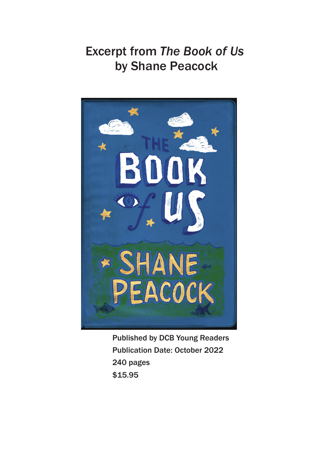## Excerpt from *The Book of Us* by Shane Peacock



Published by DCB Young Readers Publication Date: October 2022 240 pages \$15.95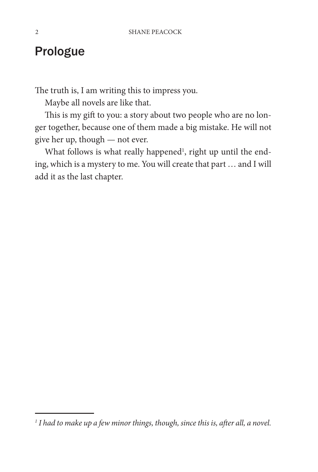## Prologue

The truth is, I am writing this to impress you.

Maybe all novels are like that.

This is my gift to you: a story about two people who are no longer together, because one of them made a big mistake. He will not give her up, though — not ever.

What follows is what really happened<sup>1</sup>, right up until the ending, which is a mystery to me. You will create that part … and I will add it as the last chapter.

*<sup>1</sup> I had to make up a few minor things, though, since this is, after all, a novel.*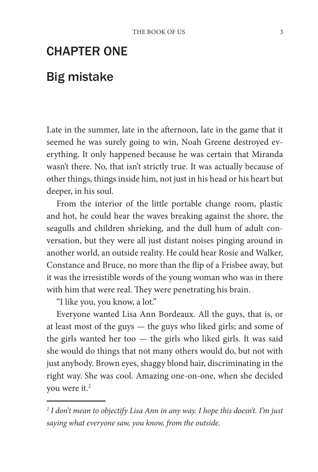## CHAPTER ONE Big mistake

Late in the summer, late in the afternoon, late in the game that it seemed he was surely going to win, Noah Greene destroyed everything. It only happened because he was certain that Miranda wasn't there. No, that isn't strictly true. It was actually because of other things, things inside him, not just in his head or his heart but deeper, in his soul.

From the interior of the little portable change room, plastic and hot, he could hear the waves breaking against the shore, the seagulls and children shrieking, and the dull hum of adult conversation, but they were all just distant noises pinging around in another world, an outside reality. He could hear Rosie and Walker, Constance and Bruce, no more than the flip of a Frisbee away, but it was the irresistible words of the young woman who was in there with him that were real. They were penetrating his brain.

"I like you, you know, a lot."

Everyone wanted Lisa Ann Bordeaux. All the guys, that is, or at least most of the guys — the guys who liked girls; and some of the girls wanted her too — the girls who liked girls. It was said she would do things that not many others would do, but not with just anybody. Brown eyes, shaggy blond hair, discriminating in the right way. She was cool. Amazing one-on-one, when she decided you were it.<sup>2</sup>

*<sup>2</sup> I don't mean to objectify Lisa Ann in any way. I hope this doesn't. I'm just saying what everyone saw, you know, from the outside.*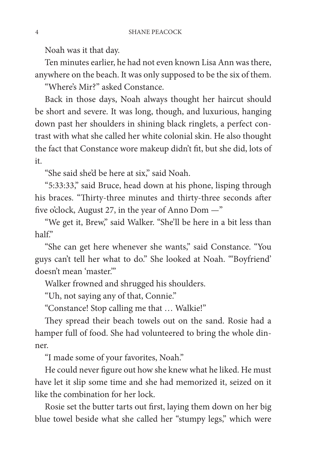Noah was it that day.

Ten minutes earlier, he had not even known Lisa Ann was there, anywhere on the beach. It was only supposed to be the six of them. "Where's Mir?" asked Constance.

Back in those days, Noah always thought her haircut should be short and severe. It was long, though, and luxurious, hanging down past her shoulders in shining black ringlets, a perfect contrast with what she called her white colonial skin. He also thought the fact that Constance wore makeup didn't fit, but she did, lots of it.

"She said she'd be here at six," said Noah.

"5:33:33," said Bruce, head down at his phone, lisping through his braces. "Thirty-three minutes and thirty-three seconds after five o'clock, August 27, in the year of Anno Dom —"

"We get it, Brew," said Walker. "She'll be here in a bit less than half"

"She can get here whenever she wants," said Constance. "You guys can't tell her what to do." She looked at Noah. "'Boyfriend' doesn't mean 'master.'"

Walker frowned and shrugged his shoulders.

"Uh, not saying any of that, Connie."

"Constance! Stop calling me that … Walkie!"

They spread their beach towels out on the sand. Rosie had a hamper full of food. She had volunteered to bring the whole dinner.

"I made some of your favorites, Noah."

He could never figure out how she knew what he liked. He must have let it slip some time and she had memorized it, seized on it like the combination for her lock.

Rosie set the butter tarts out first, laying them down on her big blue towel beside what she called her "stumpy legs," which were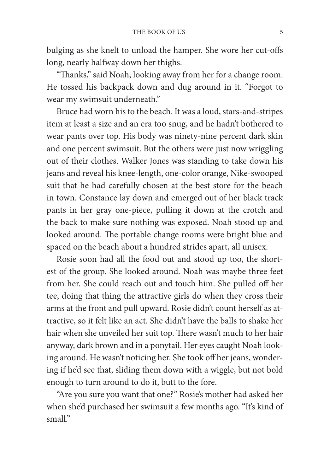bulging as she knelt to unload the hamper. She wore her cut-offs long, nearly halfway down her thighs.

"Thanks," said Noah, looking away from her for a change room. He tossed his backpack down and dug around in it. "Forgot to wear my swimsuit underneath."

Bruce had worn his to the beach. It was a loud, stars-and-stripes item at least a size and an era too snug, and he hadn't bothered to wear pants over top. His body was ninety-nine percent dark skin and one percent swimsuit. But the others were just now wriggling out of their clothes. Walker Jones was standing to take down his jeans and reveal his knee-length, one-color orange, Nike-swooped suit that he had carefully chosen at the best store for the beach in town. Constance lay down and emerged out of her black track pants in her gray one-piece, pulling it down at the crotch and the back to make sure nothing was exposed. Noah stood up and looked around. The portable change rooms were bright blue and spaced on the beach about a hundred strides apart, all unisex.

Rosie soon had all the food out and stood up too, the shortest of the group. She looked around. Noah was maybe three feet from her. She could reach out and touch him. She pulled off her tee, doing that thing the attractive girls do when they cross their arms at the front and pull upward. Rosie didn't count herself as attractive, so it felt like an act. She didn't have the balls to shake her hair when she unveiled her suit top. There wasn't much to her hair anyway, dark brown and in a ponytail. Her eyes caught Noah looking around. He wasn't noticing her. She took off her jeans, wondering if he'd see that, sliding them down with a wiggle, but not bold enough to turn around to do it, butt to the fore.

"Are you sure you want that one?" Rosie's mother had asked her when she'd purchased her swimsuit a few months ago. "It's kind of small"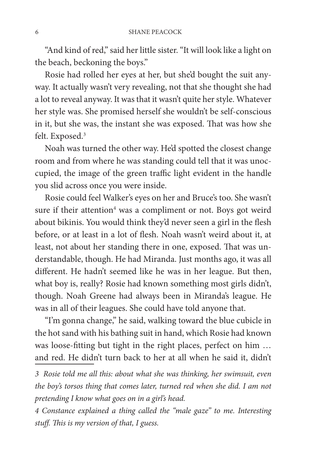"And kind of red," said her little sister. "It will look like a light on the beach, beckoning the boys."

Rosie had rolled her eyes at her, but she'd bought the suit anyway. It actually wasn't very revealing, not that she thought she had a lot to reveal anyway. It was that it wasn't quite her style. Whatever her style was. She promised herself she wouldn't be self-conscious in it, but she was, the instant she was exposed. That was how she felt. Exposed.<sup>3</sup>

Noah was turned the other way. He'd spotted the closest change room and from where he was standing could tell that it was unoccupied, the image of the green traffic light evident in the handle you slid across once you were inside.

Rosie could feel Walker's eyes on her and Bruce's too. She wasn't sure if their attention<sup>4</sup> was a compliment or not. Boys got weird about bikinis. You would think they'd never seen a girl in the flesh before, or at least in a lot of flesh. Noah wasn't weird about it, at least, not about her standing there in one, exposed. That was understandable, though. He had Miranda. Just months ago, it was all different. He hadn't seemed like he was in her league. But then, what boy is, really? Rosie had known something most girls didn't, though. Noah Greene had always been in Miranda's league. He was in all of their leagues. She could have told anyone that.

"I'm gonna change," he said, walking toward the blue cubicle in the hot sand with his bathing suit in hand, which Rosie had known was loose-fitting but tight in the right places, perfect on him … and red. He didn't turn back to her at all when he said it, didn't

*4 Constance explained a thing called the "male gaze" to me. Interesting stuff. This is my version of that, I guess.*

*<sup>3</sup> Rosie told me all this: about what she was thinking, her swimsuit, even the boy's torsos thing that comes later, turned red when she did. I am not pretending I know what goes on in a girl's head.*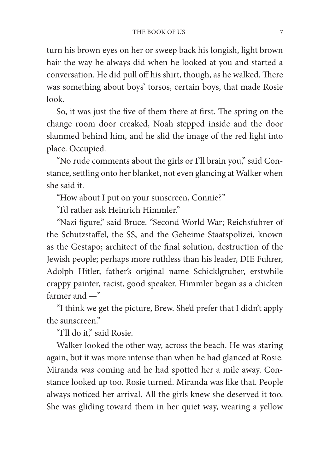## THE BOOK OF US 7

turn his brown eyes on her or sweep back his longish, light brown hair the way he always did when he looked at you and started a conversation. He did pull off his shirt, though, as he walked. There was something about boys' torsos, certain boys, that made Rosie look.

So, it was just the five of them there at first. The spring on the change room door creaked, Noah stepped inside and the door slammed behind him, and he slid the image of the red light into place. Occupied.

"No rude comments about the girls or I'll brain you," said Constance, settling onto her blanket, not even glancing at Walker when she said it.

"How about I put on your sunscreen, Connie?"

"I'd rather ask Heinrich Himmler."

"Nazi figure," said Bruce. "Second World War; Reichsfuhrer of the Schutzstaffel, the SS, and the Geheime Staatspolizei, known as the Gestapo; architect of the final solution, destruction of the Jewish people; perhaps more ruthless than his leader, DIE Fuhrer, Adolph Hitler, father's original name Schicklgruber, erstwhile crappy painter, racist, good speaker. Himmler began as a chicken farmer and —"

"I think we get the picture, Brew. She'd prefer that I didn't apply the sunscreen"

"I'll do it," said Rosie.

Walker looked the other way, across the beach. He was staring again, but it was more intense than when he had glanced at Rosie. Miranda was coming and he had spotted her a mile away. Constance looked up too. Rosie turned. Miranda was like that. People always noticed her arrival. All the girls knew she deserved it too. She was gliding toward them in her quiet way, wearing a yellow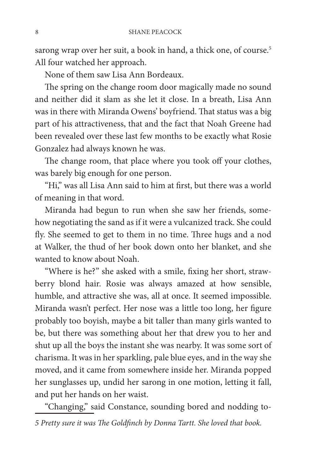sarong wrap over her suit, a book in hand, a thick one, of course.<sup>5</sup> All four watched her approach.

None of them saw Lisa Ann Bordeaux.

The spring on the change room door magically made no sound and neither did it slam as she let it close. In a breath, Lisa Ann was in there with Miranda Owens' boyfriend. That status was a big part of his attractiveness, that and the fact that Noah Greene had been revealed over these last few months to be exactly what Rosie Gonzalez had always known he was.

The change room, that place where you took off your clothes, was barely big enough for one person.

"Hi," was all Lisa Ann said to him at first, but there was a world of meaning in that word.

Miranda had begun to run when she saw her friends, somehow negotiating the sand as if it were a vulcanized track. She could fly. She seemed to get to them in no time. Three hugs and a nod at Walker, the thud of her book down onto her blanket, and she wanted to know about Noah.

"Where is he?" she asked with a smile, fixing her short, strawberry blond hair. Rosie was always amazed at how sensible, humble, and attractive she was, all at once. It seemed impossible. Miranda wasn't perfect. Her nose was a little too long, her figure probably too boyish, maybe a bit taller than many girls wanted to be, but there was something about her that drew you to her and shut up all the boys the instant she was nearby. It was some sort of charisma. It was in her sparkling, pale blue eyes, and in the way she moved, and it came from somewhere inside her. Miranda popped her sunglasses up, undid her sarong in one motion, letting it fall, and put her hands on her waist.

"Changing," said Constance, sounding bored and nodding to-

*5 Pretty sure it was The Goldfinch by Donna Tartt. She loved that book.*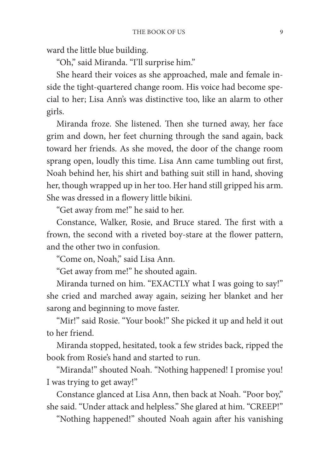ward the little blue building.

"Oh," said Miranda. "I'll surprise him."

She heard their voices as she approached, male and female inside the tight-quartered change room. His voice had become special to her; Lisa Ann's was distinctive too, like an alarm to other girls.

Miranda froze. She listened. Then she turned away, her face grim and down, her feet churning through the sand again, back toward her friends. As she moved, the door of the change room sprang open, loudly this time. Lisa Ann came tumbling out first, Noah behind her, his shirt and bathing suit still in hand, shoving her, though wrapped up in her too. Her hand still gripped his arm. She was dressed in a flowery little bikini.

"Get away from me!" he said to her.

Constance, Walker, Rosie, and Bruce stared. The first with a frown, the second with a riveted boy-stare at the flower pattern, and the other two in confusion.

"Come on, Noah," said Lisa Ann.

"Get away from me!" he shouted again.

Miranda turned on him. "EXACTLY what I was going to say!" she cried and marched away again, seizing her blanket and her sarong and beginning to move faster.

"Mir!" said Rosie. "Your book!" She picked it up and held it out to her friend.

Miranda stopped, hesitated, took a few strides back, ripped the book from Rosie's hand and started to run.

"Miranda!" shouted Noah. "Nothing happened! I promise you! I was trying to get away!"

Constance glanced at Lisa Ann, then back at Noah. "Poor boy," she said. "Under attack and helpless." She glared at him. "CREEP!"

"Nothing happened!" shouted Noah again after his vanishing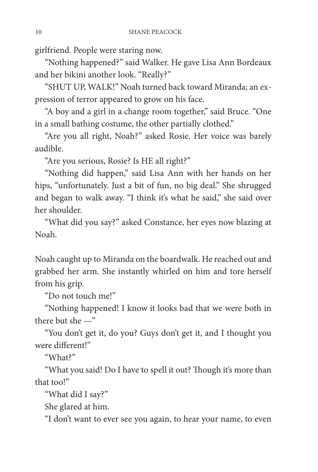girlfriend. People were staring now.

"Nothing happened?" said Walker. He gave Lisa Ann Bordeaux and her bikini another look. "Really?"

"SHUT UP, WALK!" Noah turned back toward Miranda; an expression of terror appeared to grow on his face.

"A boy and a girl in a change room together," said Bruce. "One in a small bathing costume, the other partially clothed."

"Are you all right, Noah?" asked Rosie. Her voice was barely audible.

"Are you serious, Rosie? Is HE all right?"

"Nothing did happen," said Lisa Ann with her hands on her hips, "unfortunately. Just a bit of fun, no big deal." She shrugged and began to walk away. "I think it's what he said," she said over her shoulder.

"What did you say?" asked Constance, her eyes now blazing at Noah.

Noah caught up to Miranda on the boardwalk. He reached out and grabbed her arm. She instantly whirled on him and tore herself from his grip.

"Do not touch me!"

"Nothing happened! I know it looks bad that we were both in there but she —"

"You don't get it, do you? Guys don't get it, and I thought you were different!"

"What?"

"What you said! Do I have to spell it out? Though it's more than that too!"

"What did I say?"

She glared at him.

"I don't want to ever see you again, to hear your name, to even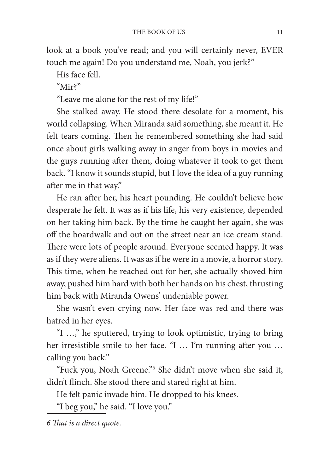look at a book you've read; and you will certainly never, EVER touch me again! Do you understand me, Noah, you jerk?"

His face fell.

"Mir?"

"Leave me alone for the rest of my life!"

She stalked away. He stood there desolate for a moment, his world collapsing. When Miranda said something, she meant it. He felt tears coming. Then he remembered something she had said once about girls walking away in anger from boys in movies and the guys running after them, doing whatever it took to get them back. "I know it sounds stupid, but I love the idea of a guy running after me in that way."

He ran after her, his heart pounding. He couldn't believe how desperate he felt. It was as if his life, his very existence, depended on her taking him back. By the time he caught her again, she was off the boardwalk and out on the street near an ice cream stand. There were lots of people around. Everyone seemed happy. It was as if they were aliens. It was as if he were in a movie, a horror story. This time, when he reached out for her, she actually shoved him away, pushed him hard with both her hands on his chest, thrusting him back with Miranda Owens' undeniable power.

She wasn't even crying now. Her face was red and there was hatred in her eyes.

"I …," he sputtered, trying to look optimistic, trying to bring her irresistible smile to her face. "I … I'm running after you … calling you back."

"Fuck you, Noah Greene."6 She didn't move when she said it, didn't flinch. She stood there and stared right at him.

He felt panic invade him. He dropped to his knees.

"I beg you," he said. "I love you."

*<sup>6</sup> That is a direct quote.*